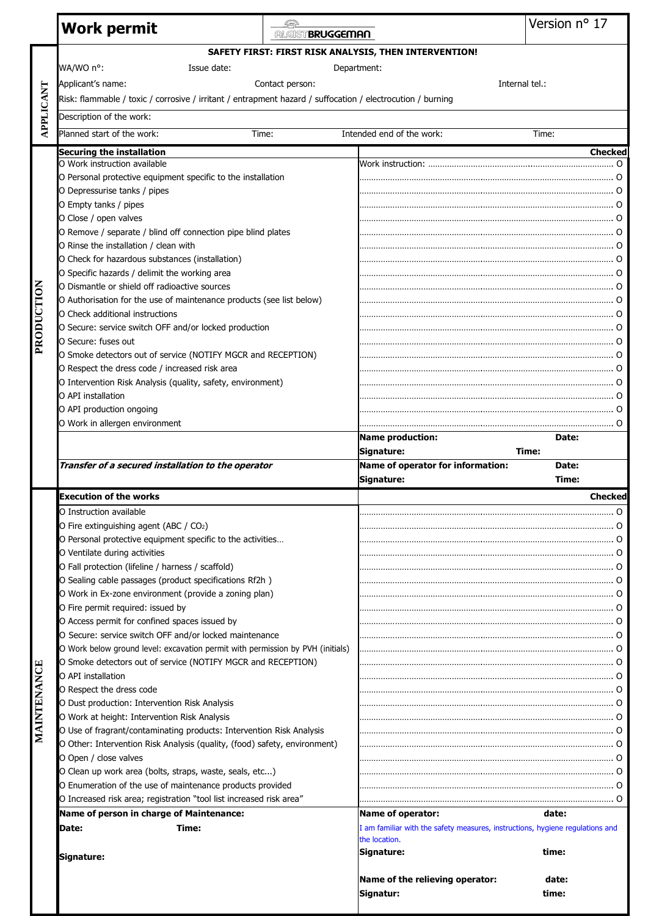|             | <b>Work permit</b>                                                                                                   | ALGIST BRUGGEMAN |                                                                                                | Version nº 17        |
|-------------|----------------------------------------------------------------------------------------------------------------------|------------------|------------------------------------------------------------------------------------------------|----------------------|
|             |                                                                                                                      |                  | SAFETY FIRST: FIRST RISK ANALYSIS, THEN INTERVENTION!                                          |                      |
|             | WA/WO n°:<br>Issue date:                                                                                             |                  | Department:                                                                                    |                      |
|             | Applicant's name:                                                                                                    | Contact person:  |                                                                                                | Internal tel.:       |
| APPLICANT   | Risk: flammable / toxic / corrosive / irritant / entrapment hazard / suffocation / electrocution / burning           |                  |                                                                                                |                      |
|             | Description of the work:                                                                                             |                  |                                                                                                |                      |
|             |                                                                                                                      |                  |                                                                                                |                      |
|             | Planned start of the work:<br>Time:                                                                                  |                  | Intended end of the work:                                                                      | Time:                |
|             | <b>Securing the installation</b><br>O Work instruction available                                                     |                  |                                                                                                | <b>Checked</b>       |
|             | O Personal protective equipment specific to the installation                                                         |                  |                                                                                                |                      |
|             | O Depressurise tanks / pipes                                                                                         |                  |                                                                                                |                      |
|             | O Empty tanks / pipes                                                                                                |                  |                                                                                                |                      |
|             | O Close / open valves                                                                                                |                  |                                                                                                |                      |
|             | O Remove / separate / blind off connection pipe blind plates                                                         |                  |                                                                                                |                      |
|             | O Rinse the installation / clean with                                                                                |                  |                                                                                                |                      |
|             | O Check for hazardous substances (installation)                                                                      |                  |                                                                                                | . O                  |
|             | O Specific hazards / delimit the working area                                                                        |                  |                                                                                                |                      |
| PRODUCTION  | O Dismantle or shield off radioactive sources                                                                        |                  |                                                                                                |                      |
|             | O Authorisation for the use of maintenance products (see list below)<br>O Check additional instructions              |                  |                                                                                                |                      |
|             | O Secure: service switch OFF and/or locked production                                                                |                  |                                                                                                |                      |
|             | O Secure: fuses out                                                                                                  |                  |                                                                                                |                      |
|             | O Smoke detectors out of service (NOTIFY MGCR and RECEPTION)                                                         |                  |                                                                                                |                      |
|             | O Respect the dress code / increased risk area                                                                       |                  |                                                                                                |                      |
|             | O Intervention Risk Analysis (quality, safety, environment)                                                          |                  |                                                                                                |                      |
|             | O API installation                                                                                                   |                  |                                                                                                |                      |
|             | O API production ongoing                                                                                             |                  |                                                                                                |                      |
|             | O Work in allergen environment                                                                                       |                  |                                                                                                |                      |
|             |                                                                                                                      |                  | <b>Name production:</b><br>Signature:                                                          | Date:<br>Time:       |
|             | Transfer of a secured installation to the operator                                                                   |                  |                                                                                                |                      |
|             |                                                                                                                      |                  |                                                                                                |                      |
|             |                                                                                                                      |                  | Name of operator for information:<br>Signature:                                                | Date:<br>Time:       |
|             | <b>Execution of the works</b>                                                                                        |                  |                                                                                                | <b>Checked</b>       |
|             | O Instruction available                                                                                              |                  |                                                                                                | O                    |
|             | O Fire extinguishing agent (ABC / CO2)                                                                               |                  |                                                                                                |                      |
|             | O Personal protective equipment specific to the activities                                                           |                  |                                                                                                | O                    |
|             | O Ventilate during activities                                                                                        |                  |                                                                                                |                      |
|             | O Fall protection (lifeline / harness / scaffold)                                                                    |                  |                                                                                                |                      |
|             | O Sealing cable passages (product specifications Rf2h)                                                               |                  |                                                                                                | $\Omega$<br>$\Omega$ |
|             | O Work in Ex-zone environment (provide a zoning plan)<br>O Fire permit required: issued by                           |                  |                                                                                                |                      |
|             | O Access permit for confined spaces issued by                                                                        |                  |                                                                                                |                      |
|             | O Secure: service switch OFF and/or locked maintenance                                                               |                  |                                                                                                |                      |
|             | O Work below ground level: excavation permit with permission by PVH (initials)                                       |                  |                                                                                                |                      |
|             | O Smoke detectors out of service (NOTIFY MGCR and RECEPTION)                                                         |                  |                                                                                                |                      |
|             | O API installation                                                                                                   |                  |                                                                                                |                      |
|             | O Respect the dress code                                                                                             |                  |                                                                                                | . 0                  |
|             | O Dust production: Intervention Risk Analysis                                                                        |                  |                                                                                                |                      |
|             | O Work at height: Intervention Risk Analysis<br>O Use of fragrant/contaminating products: Intervention Risk Analysis |                  |                                                                                                |                      |
| MAINTENANCE | O Other: Intervention Risk Analysis (quality, (food) safety, environment)                                            |                  |                                                                                                |                      |
|             | O Open / close valves                                                                                                |                  |                                                                                                |                      |
|             | O Clean up work area (bolts, straps, waste, seals, etc)                                                              |                  |                                                                                                |                      |
|             | O Enumeration of the use of maintenance products provided                                                            |                  |                                                                                                |                      |
|             | O Increased risk area; registration "tool list increased risk area"                                                  |                  |                                                                                                |                      |
|             | Name of person in charge of Maintenance:                                                                             |                  | Name of operator:                                                                              | date:                |
|             | Time:<br>Date:                                                                                                       |                  | I am familiar with the safety measures, instructions, hygiene regulations and<br>the location. |                      |
|             |                                                                                                                      |                  | Signature:                                                                                     | time:                |
|             | Signature:                                                                                                           |                  |                                                                                                |                      |
|             |                                                                                                                      |                  | Name of the relieving operator:<br>Signatur:                                                   | date:<br>time:       |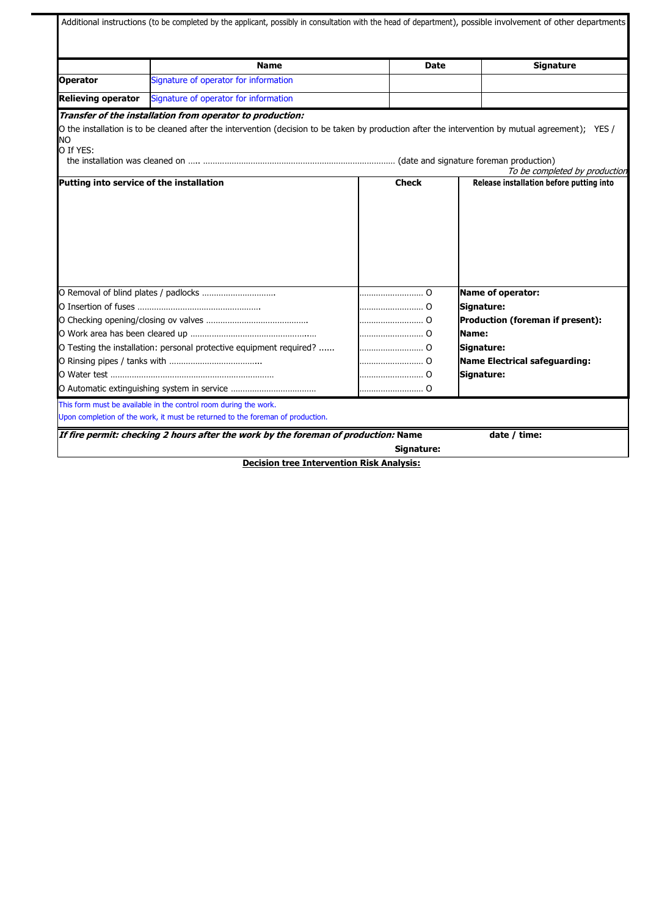| Signature of operator for information<br><b>Operator</b><br>Signature of operator for information<br><b>Relieving operator</b><br>Transfer of the installation from operator to production:<br>O the installation is to be cleaned after the intervention (decision to be taken by production after the intervention by mutual agreement); YES /<br><b>NO</b><br>O If YES:<br>To be completed by production<br><b>Check</b><br>Release installation before putting into<br>Putting into service of the installation<br>Name of operator:<br>Signature:<br>0<br>Production (foreman if present):<br>Name:<br>Signature:<br>Name Electrical safeguarding:<br>Signature: |  | <b>Name</b>                                                                        | <b>Date</b> | <b>Signature</b> |
|-----------------------------------------------------------------------------------------------------------------------------------------------------------------------------------------------------------------------------------------------------------------------------------------------------------------------------------------------------------------------------------------------------------------------------------------------------------------------------------------------------------------------------------------------------------------------------------------------------------------------------------------------------------------------|--|------------------------------------------------------------------------------------|-------------|------------------|
|                                                                                                                                                                                                                                                                                                                                                                                                                                                                                                                                                                                                                                                                       |  |                                                                                    |             |                  |
|                                                                                                                                                                                                                                                                                                                                                                                                                                                                                                                                                                                                                                                                       |  |                                                                                    |             |                  |
|                                                                                                                                                                                                                                                                                                                                                                                                                                                                                                                                                                                                                                                                       |  |                                                                                    |             |                  |
|                                                                                                                                                                                                                                                                                                                                                                                                                                                                                                                                                                                                                                                                       |  |                                                                                    |             |                  |
|                                                                                                                                                                                                                                                                                                                                                                                                                                                                                                                                                                                                                                                                       |  |                                                                                    |             |                  |
| O Removal of blind plates / padlocks<br>O Testing the installation: personal protective equipment required?<br>This form must be available in the control room during the work.<br>Upon completion of the work, it must be returned to the foreman of production.                                                                                                                                                                                                                                                                                                                                                                                                     |  |                                                                                    |             |                  |
|                                                                                                                                                                                                                                                                                                                                                                                                                                                                                                                                                                                                                                                                       |  |                                                                                    |             |                  |
|                                                                                                                                                                                                                                                                                                                                                                                                                                                                                                                                                                                                                                                                       |  |                                                                                    |             |                  |
|                                                                                                                                                                                                                                                                                                                                                                                                                                                                                                                                                                                                                                                                       |  |                                                                                    |             |                  |
|                                                                                                                                                                                                                                                                                                                                                                                                                                                                                                                                                                                                                                                                       |  |                                                                                    |             |                  |
|                                                                                                                                                                                                                                                                                                                                                                                                                                                                                                                                                                                                                                                                       |  |                                                                                    |             |                  |
|                                                                                                                                                                                                                                                                                                                                                                                                                                                                                                                                                                                                                                                                       |  |                                                                                    |             |                  |
|                                                                                                                                                                                                                                                                                                                                                                                                                                                                                                                                                                                                                                                                       |  |                                                                                    |             |                  |
|                                                                                                                                                                                                                                                                                                                                                                                                                                                                                                                                                                                                                                                                       |  |                                                                                    |             |                  |
|                                                                                                                                                                                                                                                                                                                                                                                                                                                                                                                                                                                                                                                                       |  |                                                                                    |             |                  |
|                                                                                                                                                                                                                                                                                                                                                                                                                                                                                                                                                                                                                                                                       |  |                                                                                    |             |                  |
|                                                                                                                                                                                                                                                                                                                                                                                                                                                                                                                                                                                                                                                                       |  |                                                                                    |             |                  |
|                                                                                                                                                                                                                                                                                                                                                                                                                                                                                                                                                                                                                                                                       |  |                                                                                    |             |                  |
|                                                                                                                                                                                                                                                                                                                                                                                                                                                                                                                                                                                                                                                                       |  |                                                                                    |             |                  |
|                                                                                                                                                                                                                                                                                                                                                                                                                                                                                                                                                                                                                                                                       |  |                                                                                    |             |                  |
|                                                                                                                                                                                                                                                                                                                                                                                                                                                                                                                                                                                                                                                                       |  |                                                                                    |             |                  |
|                                                                                                                                                                                                                                                                                                                                                                                                                                                                                                                                                                                                                                                                       |  |                                                                                    |             |                  |
|                                                                                                                                                                                                                                                                                                                                                                                                                                                                                                                                                                                                                                                                       |  | If fire permit: checking 2 hours after the work by the foreman of production: Name |             | date / time:     |